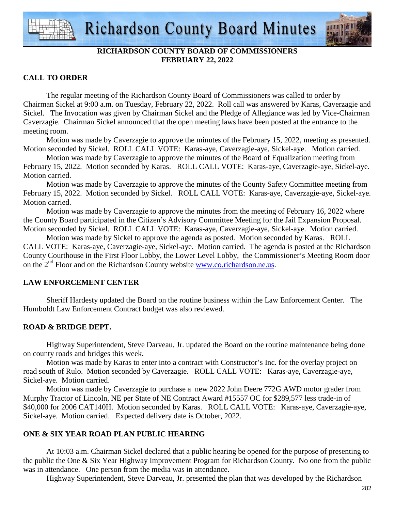

# **RICHARDSON COUNTY BOARD OF COMMISSIONERS FEBRUARY 22, 2022**

# **CALL TO ORDER**

 The regular meeting of the Richardson County Board of Commissioners was called to order by Chairman Sickel at 9:00 a.m. on Tuesday, February 22, 2022. Roll call was answered by Karas, Caverzagie and Sickel. The Invocation was given by Chairman Sickel and the Pledge of Allegiance was led by Vice-Chairman Caverzagie. Chairman Sickel announced that the open meeting laws have been posted at the entrance to the meeting room.

 Motion was made by Caverzagie to approve the minutes of the February 15, 2022, meeting as presented. Motion seconded by Sickel. ROLL CALL VOTE: Karas-aye, Caverzagie-aye, Sickel-aye. Motion carried.

 Motion was made by Caverzagie to approve the minutes of the Board of Equalization meeting from February 15, 2022. Motion seconded by Karas. ROLL CALL VOTE: Karas-aye, Caverzagie-aye, Sickel-aye. Motion carried.

 Motion was made by Caverzagie to approve the minutes of the County Safety Committee meeting from February 15, 2022. Motion seconded by Sickel. ROLL CALL VOTE: Karas-aye, Caverzagie-aye, Sickel-aye. Motion carried.

 Motion was made by Caverzagie to approve the minutes from the meeting of February 16, 2022 where the County Board participated in the Citizen's Advisory Committee Meeting for the Jail Expansion Proposal. Motion seconded by Sickel. ROLL CALL VOTE: Karas-aye, Caverzagie-aye, Sickel-aye. Motion carried.

 Motion was made by Sickel to approve the agenda as posted. Motion seconded by Karas. ROLL CALL VOTE: Karas-aye, Caverzagie-aye, Sickel-aye. Motion carried. The agenda is posted at the Richardson County Courthouse in the First Floor Lobby, the Lower Level Lobby, the Commissioner's Meeting Room door on the  $2<sup>nd</sup>$  Floor and on the Richardson County website www.co.richardson.ne.us.

# **LAW ENFORCEMENT CENTER**

 Sheriff Hardesty updated the Board on the routine business within the Law Enforcement Center. The Humboldt Law Enforcement Contract budget was also reviewed.

# **ROAD & BRIDGE DEPT.**

 Highway Superintendent, Steve Darveau, Jr. updated the Board on the routine maintenance being done on county roads and bridges this week.

 Motion was made by Karas to enter into a contract with Constructor's Inc. for the overlay project on road south of Rulo. Motion seconded by Caverzagie. ROLL CALL VOTE: Karas-aye, Caverzagie-aye, Sickel-aye. Motion carried.

 Motion was made by Caverzagie to purchase a new 2022 John Deere 772G AWD motor grader from Murphy Tractor of Lincoln, NE per State of NE Contract Award #15557 OC for \$289,577 less trade-in of \$40,000 for 2006 CAT140H. Motion seconded by Karas. ROLL CALL VOTE: Karas-aye, Caverzagie-aye, Sickel-aye. Motion carried. Expected delivery date is October, 2022.

# **ONE & SIX YEAR ROAD PLAN PUBLIC HEARING**

 At 10:03 a.m. Chairman Sickel declared that a public hearing be opened for the purpose of presenting to the public the One & Six Year Highway Improvement Program for Richardson County. No one from the public was in attendance. One person from the media was in attendance.

Highway Superintendent, Steve Darveau, Jr. presented the plan that was developed by the Richardson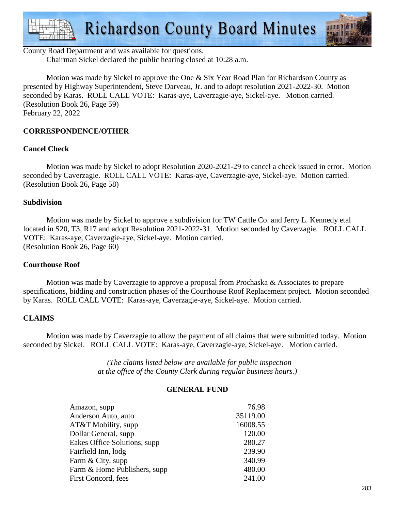

# County Road Department and was available for questions.

Chairman Sickel declared the public hearing closed at 10:28 a.m.

 Motion was made by Sickel to approve the One & Six Year Road Plan for Richardson County as presented by Highway Superintendent, Steve Darveau, Jr. and to adopt resolution 2021-2022-30. Motion seconded by Karas. ROLL CALL VOTE: Karas-aye, Caverzagie-aye, Sickel-aye. Motion carried. (Resolution Book 26, Page 59) February 22, 2022

## **CORRESPONDENCE/OTHER**

## **Cancel Check**

 Motion was made by Sickel to adopt Resolution 2020-2021-29 to cancel a check issued in error. Motion seconded by Caverzagie. ROLL CALL VOTE: Karas-aye, Caverzagie-aye, Sickel-aye. Motion carried. (Resolution Book 26, Page 58)

#### **Subdivision**

Motion was made by Sickel to approve a subdivision for TW Cattle Co. and Jerry L. Kennedy etal located in S20, T3, R17 and adopt Resolution 2021-2022-31. Motion seconded by Caverzagie. ROLL CALL VOTE: Karas-aye, Caverzagie-aye, Sickel-aye. Motion carried. (Resolution Book 26, Page 60)

#### **Courthouse Roof**

Motion was made by Caverzagie to approve a proposal from Prochaska & Associates to prepare specifications, bidding and construction phases of the Courthouse Roof Replacement project. Motion seconded by Karas. ROLL CALL VOTE: Karas-aye, Caverzagie-aye, Sickel-aye. Motion carried.

#### **CLAIMS**

Motion was made by Caverzagie to allow the payment of all claims that were submitted today. Motion seconded by Sickel. ROLL CALL VOTE: Karas-aye, Caverzagie-aye, Sickel-aye. Motion carried.

> *(The claims listed below are available for public inspection at the office of the County Clerk during regular business hours.)*

#### **GENERAL FUND**

| Amazon, supp                  | 76.98    |
|-------------------------------|----------|
| Anderson Auto, auto           | 35119.00 |
| AT&T Mobility, supp           | 16008.55 |
| Dollar General, supp.         | 120.00   |
| Eakes Office Solutions, supp. | 280.27   |
| Fairfield Inn, lodg           | 239.90   |
| Farm & City, supp             | 340.99   |
| Farm & Home Publishers, supp  | 480.00   |
| First Concord, fees           | 241.00   |
|                               |          |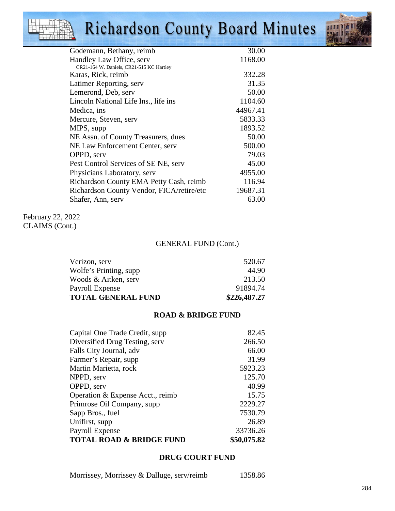# **Richardson County Board Minutes**



| Godemann, Bethany, reimb                  | 30.00    |
|-------------------------------------------|----------|
| Handley Law Office, serv                  | 1168.00  |
| CR21-164 W. Daniels, CR21-515 KC Hartley  |          |
| Karas, Rick, reimb                        | 332.28   |
| Latimer Reporting, serv                   | 31.35    |
| Lemerond, Deb, serv                       | 50.00    |
| Lincoln National Life Ins., life ins.     | 1104.60  |
| Medica, ins                               | 44967.41 |
| Mercure, Steven, serv                     | 5833.33  |
| MIPS, supp                                | 1893.52  |
| NE Assn. of County Treasurers, dues       | 50.00    |
| NE Law Enforcement Center, serv           | 500.00   |
| OPPD, serv                                | 79.03    |
| Pest Control Services of SE NE, serv      | 45.00    |
| Physicians Laboratory, serv               | 4955.00  |
| Richardson County EMA Petty Cash, reimb   | 116.94   |
| Richardson County Vendor, FICA/retire/etc | 19687.31 |
| Shafer, Ann, serv                         | 63.00    |
|                                           |          |

February 22, 2022 CLAIMS (Cont.)

## GENERAL FUND (Cont.)

| Verizon, serv             | 520.67       |
|---------------------------|--------------|
| Wolfe's Printing, supp    | 44.90        |
| Woods & Aitken, serv      | 213.50       |
| Payroll Expense           | 91894.74     |
| <b>TOTAL GENERAL FUND</b> | \$226,487.27 |

#### **ROAD & BRIDGE FUND**

| Capital One Trade Credit, supp      | 82.45       |
|-------------------------------------|-------------|
| Diversified Drug Testing, serv      | 266.50      |
| Falls City Journal, adv             | 66.00       |
| Farmer's Repair, supp               | 31.99       |
| Martin Marietta, rock               | 5923.23     |
| NPPD, serv                          | 125.70      |
| OPPD, serv                          | 40.99       |
| Operation & Expense Acct., reimb    | 15.75       |
| Primrose Oil Company, supp          | 2229.27     |
| Sapp Bros., fuel                    | 7530.79     |
| Unifirst, supp                      | 26.89       |
| Payroll Expense                     | 33736.26    |
| <b>TOTAL ROAD &amp; BRIDGE FUND</b> | \$50,075.82 |

# **DRUG COURT FUND**

Morrissey, Morrissey & Dalluge, serv/reimb 1358.86